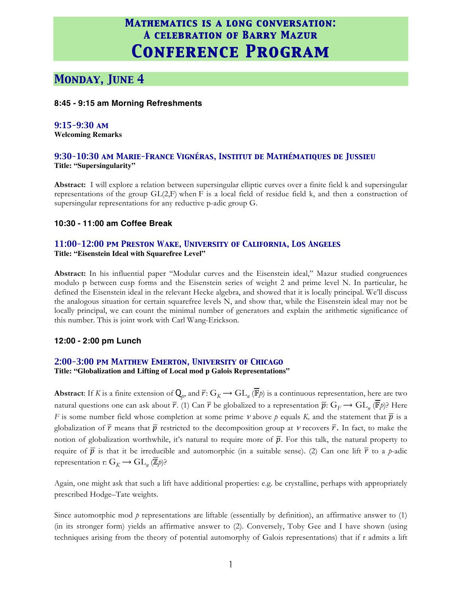# *Monday, June 4*

#### **8:45 - 9:15 am Morning Refreshments**

#### *9:15-9:30 am*

**Welcoming Remarks**

#### *9:30-10:30 am Marie-France Vignéras, Institut de Mathématiques de Jussieu* **Title: "Supersingularity"**

**Abstract:** I will explore a relation between supersingular elliptic curves over a finite field k and supersingular representations of the group GL(2,F) when F is a local field of residue field k, and then a construction of supersingular representations for any reductive p-adic group G.

#### **10:30 - 11:00 am Coffee Break**

#### *11:00-12:00 pm Preston Wake, University of California, Los Angeles* **Title: "Eisenstein Ideal with Squarefree Level"**

**Abstract:** In his influential paper "Modular curves and the Eisenstein ideal," Mazur studied congruences modulo p between cusp forms and the Eisenstein series of weight 2 and prime level N. In particular, he defined the Eisenstein ideal in the relevant Hecke algebra, and showed that it is locally principal. We'll discuss the analogous situation for certain squarefree levels N, and show that, while the Eisenstein ideal may not be locally principal, we can count the minimal number of generators and explain the arithmetic significance of this number. This is joint work with Carl Wang-Erickson.

#### **12:00 - 2:00 pm Lunch**

#### *2:00-3:00 pm Matthew Emerton, University of Chicago*

**Title: "Globalization and Lifting of Local mod p Galois Representations"**

**Abstract:** If *K* is a finite extension of  $Q_p$ , and  $\overline{r}: G_K \to GL_n(\overline{\mathbb{F}}p)$  is a continuous representation, here are two natural questions one can ask about  $\overline{r}$ . (1) Can  $\overline{r}$  be globalized to a representation  $\overline{p}$ :  $G_F \to GL_n(\overline{\mathbb{F}})$ ? Here *F* is some number field whose completion at some prime *v* above *p* equals *K*, and the statement that  $\overline{p}$  is a globalization of  $\overline{r}$  means that  $\overline{p}$  restricted to the decomposition group at *v* recovers  $\overline{r}$ . In fact, to make the notion of globalization worthwhile, it's natural to require more of  $\bar{p}$ . For this talk, the natural property to require of  $\bar{p}$  is that it be irreducible and automorphic (in a suitable sense). (2) Can one lift  $\bar{r}$  to a *p*-adic representation r:  $G_K \to GL_n(\mathbb{Z}_p)$ ?

Again, one might ask that such a lift have additional properties: e.g. be crystalline, perhaps with appropriately prescribed Hodge–Tate weights.

Since automorphic mod  $p$  representations are liftable (essentially by definition), an affirmative answer to  $(1)$ (in its stronger form) yields an affirmative answer to (2). Conversely, Toby Gee and I have shown (using techniques arising from the theory of potential automorphy of Galois representations) that if r admits a lift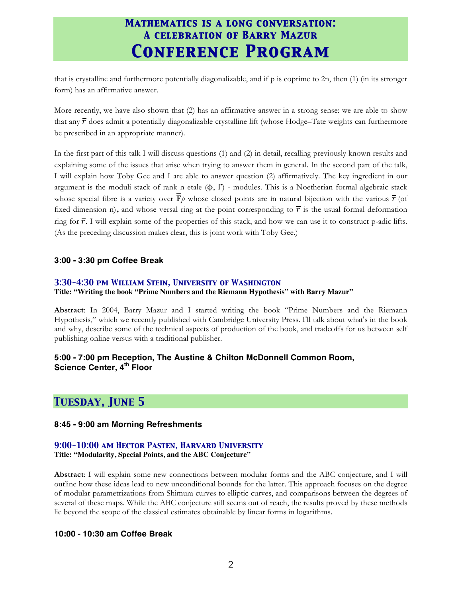that is crystalline and furthermore potentially diagonalizable, and if p is coprime to 2n, then (1) (in its stronger form) has an affirmative answer.

More recently, we have also shown that (2) has an affirmative answer in a strong sense: we are able to show that any  $\overline{r}$  does admit a potentially diagonalizable crystalline lift (whose Hodge–Tate weights can furthermore be prescribed in an appropriate manner).

In the first part of this talk I will discuss questions (1) and (2) in detail, recalling previously known results and explaining some of the issues that arise when trying to answer them in general. In the second part of the talk, I will explain how Toby Gee and I are able to answer question (2) affirmatively. The key ingredient in our argument is the moduli stack of rank n etale  $(\phi, \Gamma)$  - modules. This is a Noetherian formal algebraic stack whose special fibre is a variety over  $\bar{\mathbb{F}}_p$  whose closed points are in natural bijection with the various  $\bar{r}$  (of fixed dimension n), and whose versal ring at the point corresponding to  $\bar{r}$  is the usual formal deformation ring for  $\overline{r}$ . I will explain some of the properties of this stack, and how we can use it to construct p-adic lifts. (As the preceding discussion makes clear, this is joint work with Toby Gee.)

#### **3:00 - 3:30 pm Coffee Break**

#### *3:30-4:30 pm William Stein, University of Washington*

#### **Title: "Writing the book "Prime Numbers and the Riemann Hypothesis" with Barry Mazur"**

**Abstract**: In 2004, Barry Mazur and I started writing the book "Prime Numbers and the Riemann Hypothesis," which we recently published with Cambridge University Press. I'll talk about what's in the book and why, describe some of the technical aspects of production of the book, and tradeoffs for us between self publishing online versus with a traditional publisher.

#### **5:00 - 7:00 pm Reception, The Austine & Chilton McDonnell Common Room, Science Center, 4th Floor**

### *Tuesday, June 5*

#### **8:45 - 9:00 am Morning Refreshments**

### *9:00-10:00 am Hector Pasten, Harvard University*

### **Title: "Modularity, Special Points, and the ABC Conjecture"**

**Abstract**: I will explain some new connections between modular forms and the ABC conjecture, and I will outline how these ideas lead to new unconditional bounds for the latter. This approach focuses on the degree of modular parametrizations from Shimura curves to elliptic curves, and comparisons between the degrees of several of these maps. While the ABC conjecture still seems out of reach, the results proved by these methods lie beyond the scope of the classical estimates obtainable by linear forms in logarithms.

#### **10:00 - 10:30 am Coffee Break**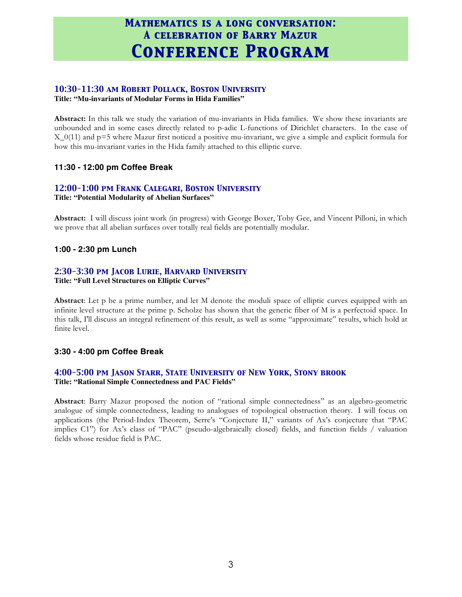### *10:30-11:30 am Robert Pollack, Boston University*

**Title: "Mu-invariants of Modular Forms in Hida Families"**

**Abstract:** In this talk we study the variation of mu-invariants in Hida families. We show these invariants are unbounded and in some cases directly related to p-adic L-functions of Dirichlet characters. In the case of X\_0(11) and p=5 where Mazur first noticed a positive mu-invariant, we give a simple and explicit formula for how this mu-invariant varies in the Hida family attached to this elliptic curve.

#### **11:30 - 12:00 pm Coffee Break**

# *12:00-1:00 pm Frank Calegari, Boston University*

**Title: "Potential Modularity of Abelian Surfaces"**

**Abstract:** I will discuss joint work (in progress) with George Boxer, Toby Gee, and Vincent Pilloni, in which we prove that all abelian surfaces over totally real fields are potentially modular.

#### **1:00 - 2:30 pm Lunch**

#### *2:30-3:30 pm Jacob Lurie, Harvard University*

**Title: "Full Level Structures on Elliptic Curves"**

**Abstract**: Let p be a prime number, and let M denote the moduli space of elliptic curves equipped with an infinite level structure at the prime p. Scholze has shown that the generic fiber of M is a perfectoid space. In this talk, I'll discuss an integral refinement of this result, as well as some "approximate" results, which hold at finite level.

#### **3:30 - 4:00 pm Coffee Break**

#### *4:00-5:00 pm Jason Starr, State University of New York, Stony brook* **Title: "Rational Simple Connectedness and PAC Fields"**

**Abstract**: Barry Mazur proposed the notion of "rational simple connectedness" as an algebro-geometric analogue of simple connectedness, leading to analogues of topological obstruction theory. I will focus on applications (the Period-Index Theorem, Serre's "Conjecture II," variants of Ax's conjecture that "PAC implies C1") for Ax's class of "PAC" (pseudo-algebraically closed) fields, and function fields / valuation fields whose residue field is PAC.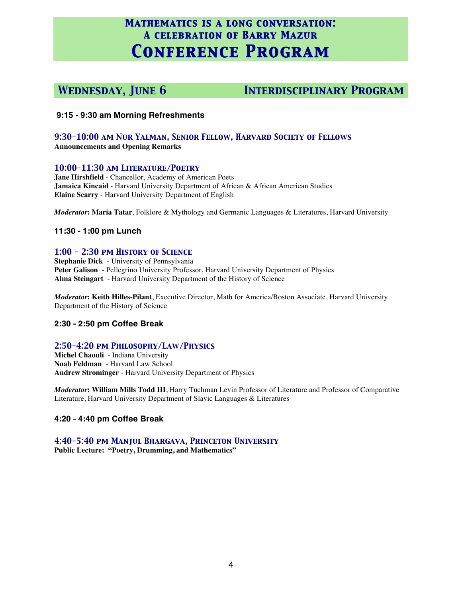*Wednesday, June 6 Interdisciplinary Program*

#### **9:15 - 9:30 am Morning Refreshments**

#### *9:30-10:00 am Nur Yalman, Senior Fellow, Harvard Society of Fellows* **Announcements and Opening Remarks**

#### *10:00-11:30 am Literature/Poetry*

**Jane Hirshfield** - Chancellor, Academy of American Poets **Jamaica Kincaid** - Harvard University Department of African & African American Studies **Elaine Scarry** - Harvard University Department of English

*Moderator***: Maria Tatar**, Folklore & Mythology and Germanic Languages & Literatures, Harvard University

#### **11:30 - 1:00 pm Lunch**

#### *1:00 - 2:30 pm History of Science*

**Stephanie Dick** - University of Pennsylvania **Peter Galison** - Pellegrino University Professor, Harvard University Department of Physics **Alma Steingart** - Harvard University Department of the History of Science

*Moderator***: Keith Hilles-Pilant**, Executive Director, Math for America/Boston Associate, Harvard University Department of the History of Science

#### **2:30 - 2:50 pm Coffee Break**

#### *2:50-4:20 pm Philosophy/Law/Physics*

**Michel Chaouli** - Indiana University **Noah Feldman** - Harvard Law School **Andrew Strominger** - Harvard University Department of Physics

*Moderator***: William Mills Todd III**, Harry Tuchman Levin Professor of Literature and Professor of Comparative Literature, Harvard University Department of Slavic Languages & Literatures

#### **4:20 - 4:40 pm Coffee Break**

#### *4:40-5:40 pm Manjul Bhargava, Princeton University*

**Public Lecture: "Poetry, Drumming, and Mathematics"**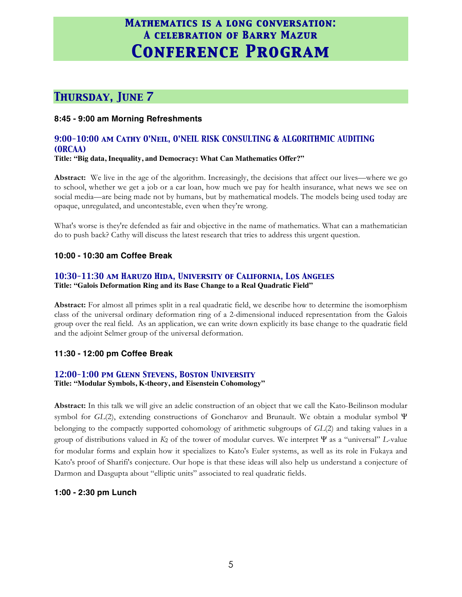# *Thursday, June 7*

#### **8:45 - 9:00 am Morning Refreshments**

### *9:00-10:00 am Cathy O'Neil, O'NEIL RISK CONSULTING & ALGORITHMIC AUDITING (ORCAA)*

#### **Title: "Big data, Inequality, and Democracy: What Can Mathematics Offer?"**

**Abstract:** We live in the age of the algorithm. Increasingly, the decisions that affect our lives—where we go to school, whether we get a job or a car loan, how much we pay for health insurance, what news we see on social media—are being made not by humans, but by mathematical models. The models being used today are opaque, unregulated, and uncontestable, even when they're wrong.

What's worse is they're defended as fair and objective in the name of mathematics. What can a mathematician do to push back? Cathy will discuss the latest research that tries to address this urgent question.

#### **10:00 - 10:30 am Coffee Break**

### *10:30-11:30 am Haruzo Hida, University of California, Los Angeles*

**Title: "Galois Deformation Ring and its Base Change to a Real Quadratic Field"**

**Abstract:** For almost all primes split in a real quadratic field, we describe how to determine the isomorphism class of the universal ordinary deformation ring of a 2-dimensional induced representation from the Galois group over the real field. As an application, we can write down explicitly its base change to the quadratic field and the adjoint Selmer group of the universal deformation.

#### **11:30 - 12:00 pm Coffee Break**

#### *12:00-1:00 pm Glenn Stevens, Boston University*

**Title: "Modular Symbols, K-theory, and Eisenstein Cohomology"**

**Abstract:** In this talk we will give an adelic construction of an object that we call the Kato-Beilinson modular symbol for *GL*(2), extending constructions of Goncharov and Brunault. We obtain a modular symbol Ψ belonging to the compactly supported cohomology of arithmetic subgroups of *GL*(2) and taking values in a group of distributions valued in *K*<sup>2</sup> of the tower of modular curves. We interpret Ψ as a "universal" *L*-value for modular forms and explain how it specializes to Kato's Euler systems, as well as its role in Fukaya and Kato's proof of Sharifi's conjecture. Our hope is that these ideas will also help us understand a conjecture of Darmon and Dasgupta about "elliptic units" associated to real quadratic fields.

#### **1:00 - 2:30 pm Lunch**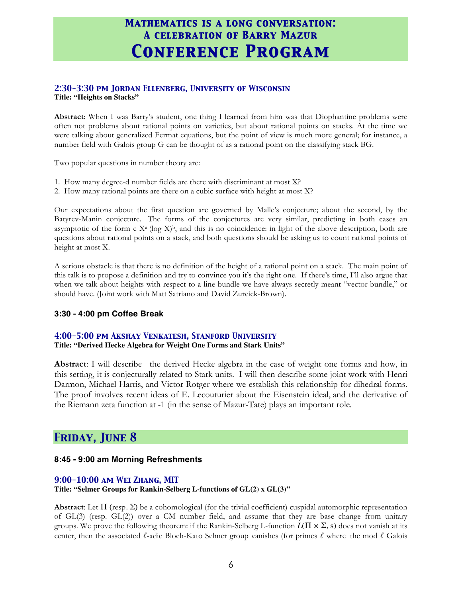#### *2:30-3:30 pm Jordan Ellenberg, University of Wisconsin*  **Title: "Heights on Stacks"**

**Abstract**: When I was Barry's student, one thing I learned from him was that Diophantine problems were often not problems about rational points on varieties, but about rational points on stacks. At the time we were talking about generalized Fermat equations, but the point of view is much more general; for instance, a number field with Galois group G can be thought of as a rational point on the classifying stack BG.

Two popular questions in number theory are:

- 1. How many degree-d number fields are there with discriminant at most X?
- 2. How many rational points are there on a cubic surface with height at most X?

Our expectations about the first question are governed by Malle's conjecture; about the second, by the Batyrev-Manin conjecture. The forms of the conjectures are very similar, predicting in both cases an asymptotic of the form c  $X^a$  (log  $X)^b$ , and this is no coincidence: in light of the above description, both are questions about rational points on a stack, and both questions should be asking us to count rational points of height at most X.

A serious obstacle is that there is no definition of the height of a rational point on a stack. The main point of this talk is to propose a definition and try to convince you it's the right one. If there's time, I'll also argue that when we talk about heights with respect to a line bundle we have always secretly meant "vector bundle," or should have. (Joint work with Matt Satriano and David Zureick-Brown).

#### **3:30 - 4:00 pm Coffee Break**

#### *4:00-5:00 pm Akshay Venkatesh, Stanford University*

**Title: "Derived Hecke Algebra for Weight One Forms and Stark Units"**

**Abstract**: I will describe the derived Hecke algebra in the case of weight one forms and how, in this setting, it is conjecturally related to Stark units. I will then describe some joint work with Henri Darmon, Michael Harris, and Victor Rotger where we establish this relationship for dihedral forms. The proof involves recent ideas of E. Lecouturier about the Eisenstein ideal, and the derivative of the Riemann zeta function at -1 (in the sense of Mazur-Tate) plays an important role.

### *Friday, June 8*

#### **8:45 - 9:00 am Morning Refreshments**

#### *9:00-10:00 am Wei Zhang, MIT*

#### **Title: "Selmer Groups for Rankin-Selberg L-functions of GL(2) x GL(3)"**

**Abstract:** Let  $\Pi$  (resp.  $\Sigma$ ) be a cohomological (for the trivial coefficient) cuspidal automorphic representation of GL(3) (resp. GL(2)) over a CM number field, and assume that they are base change from unitary groups. We prove the following theorem: if the Rankin-Selberg L-function  $L(\Pi \times \Sigma, s)$  does not vanish at its center, then the associated *ℓ-*adic Bloch-Kato Selmer group vanishes (for primes *ℓ* where the mod *ℓ* Galois